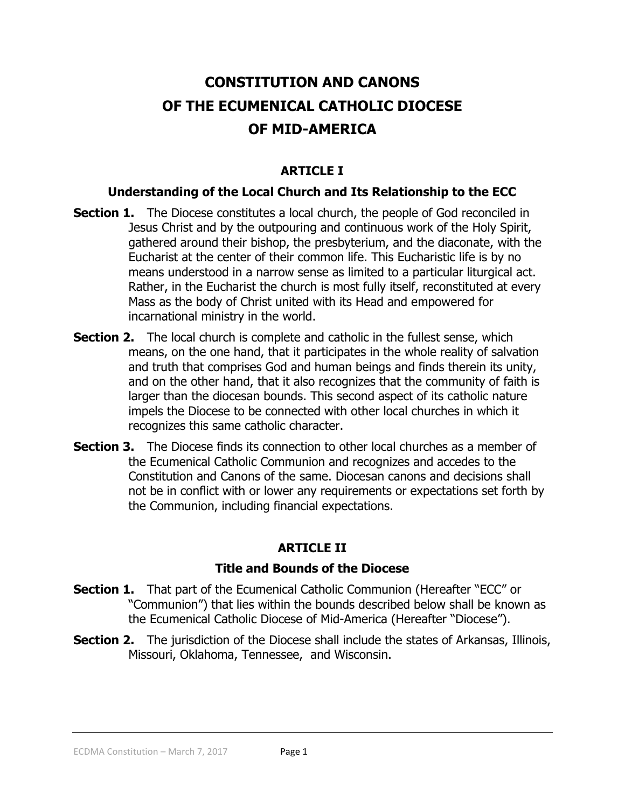# **CONSTITUTION AND CANONS OF THE ECUMENICAL CATHOLIC DIOCESE OF MID-AMERICA**

# **ARTICLE I**

#### **Understanding of the Local Church and Its Relationship to the ECC**

- **Section 1.** The Diocese constitutes a local church, the people of God reconciled in Jesus Christ and by the outpouring and continuous work of the Holy Spirit, gathered around their bishop, the presbyterium, and the diaconate, with the Eucharist at the center of their common life. This Eucharistic life is by no means understood in a narrow sense as limited to a particular liturgical act. Rather, in the Eucharist the church is most fully itself, reconstituted at every Mass as the body of Christ united with its Head and empowered for incarnational ministry in the world.
- **Section 2.** The local church is complete and catholic in the fullest sense, which means, on the one hand, that it participates in the whole reality of salvation and truth that comprises God and human beings and finds therein its unity, and on the other hand, that it also recognizes that the community of faith is larger than the diocesan bounds. This second aspect of its catholic nature impels the Diocese to be connected with other local churches in which it recognizes this same catholic character.
- **Section 3.** The Diocese finds its connection to other local churches as a member of the Ecumenical Catholic Communion and recognizes and accedes to the Constitution and Canons of the same. Diocesan canons and decisions shall not be in conflict with or lower any requirements or expectations set forth by the Communion, including financial expectations.

#### **ARTICLE II**

#### **Title and Bounds of the Diocese**

- **Section 1.** That part of the Ecumenical Catholic Communion (Hereafter "ECC" or "Communion") that lies within the bounds described below shall be known as the Ecumenical Catholic Diocese of Mid-America (Hereafter "Diocese").
- **Section 2.** The jurisdiction of the Diocese shall include the states of Arkansas, Illinois, Missouri, Oklahoma, Tennessee, and Wisconsin.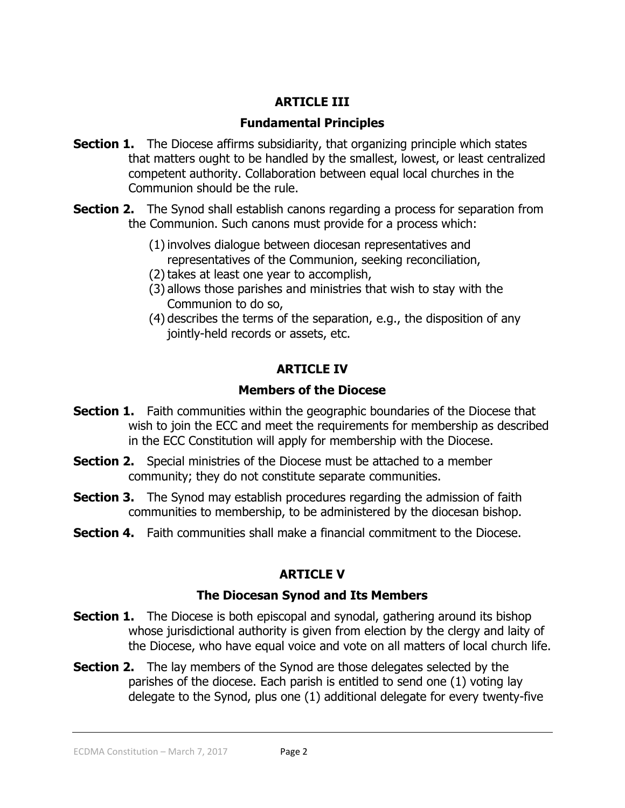## **ARTICLE III**

## **Fundamental Principles**

- **Section 1.** The Diocese affirms subsidiarity, that organizing principle which states that matters ought to be handled by the smallest, lowest, or least centralized competent authority. Collaboration between equal local churches in the Communion should be the rule.
- **Section 2.** The Synod shall establish canons regarding a process for separation from the Communion. Such canons must provide for a process which:
	- (1)involves dialogue between diocesan representatives and representatives of the Communion, seeking reconciliation,
	- (2) takes at least one year to accomplish,
	- (3) allows those parishes and ministries that wish to stay with the Communion to do so,
	- (4) describes the terms of the separation, e.g., the disposition of any jointly-held records or assets, etc.

# **ARTICLE IV**

# **Members of the Diocese**

- **Section 1.** Faith communities within the geographic boundaries of the Diocese that wish to join the ECC and meet the requirements for membership as described in the ECC Constitution will apply for membership with the Diocese.
- **Section 2.** Special ministries of the Diocese must be attached to a member community; they do not constitute separate communities.
- **Section 3.** The Synod may establish procedures regarding the admission of faith communities to membership, to be administered by the diocesan bishop.
- **Section 4.** Faith communities shall make a financial commitment to the Diocese.

# **ARTICLE V**

# **The Diocesan Synod and Its Members**

- **Section 1.** The Diocese is both episcopal and synodal, gathering around its bishop whose jurisdictional authority is given from election by the clergy and laity of the Diocese, who have equal voice and vote on all matters of local church life.
- **Section 2.** The lay members of the Synod are those delegates selected by the parishes of the diocese. Each parish is entitled to send one (1) voting lay delegate to the Synod, plus one (1) additional delegate for every twenty-five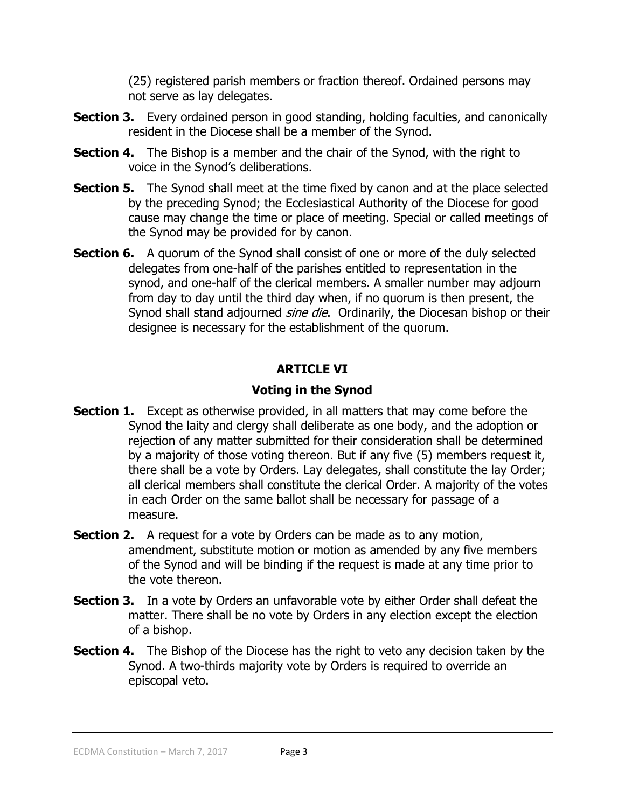(25) registered parish members or fraction thereof. Ordained persons may not serve as lay delegates.

- **Section 3.** Every ordained person in good standing, holding faculties, and canonically resident in the Diocese shall be a member of the Synod.
- **Section 4.** The Bishop is a member and the chair of the Synod, with the right to voice in the Synod's deliberations.
- **Section 5.** The Synod shall meet at the time fixed by canon and at the place selected by the preceding Synod; the Ecclesiastical Authority of the Diocese for good cause may change the time or place of meeting. Special or called meetings of the Synod may be provided for by canon.
- **Section 6.** A quorum of the Synod shall consist of one or more of the duly selected delegates from one-half of the parishes entitled to representation in the synod, and one-half of the clerical members. A smaller number may adjourn from day to day until the third day when, if no quorum is then present, the Synod shall stand adjourned *sine die*. Ordinarily, the Diocesan bishop or their designee is necessary for the establishment of the quorum.

# **ARTICLE VI**

# **Voting in the Synod**

- **Section 1.** Except as otherwise provided, in all matters that may come before the Synod the laity and clergy shall deliberate as one body, and the adoption or rejection of any matter submitted for their consideration shall be determined by a majority of those voting thereon. But if any five (5) members request it, there shall be a vote by Orders. Lay delegates, shall constitute the lay Order; all clerical members shall constitute the clerical Order. A majority of the votes in each Order on the same ballot shall be necessary for passage of a measure.
- **Section 2.** A request for a vote by Orders can be made as to any motion, amendment, substitute motion or motion as amended by any five members of the Synod and will be binding if the request is made at any time prior to the vote thereon.
- **Section 3.** In a vote by Orders an unfavorable vote by either Order shall defeat the matter. There shall be no vote by Orders in any election except the election of a bishop.
- **Section 4.** The Bishop of the Diocese has the right to veto any decision taken by the Synod. A two-thirds majority vote by Orders is required to override an episcopal veto.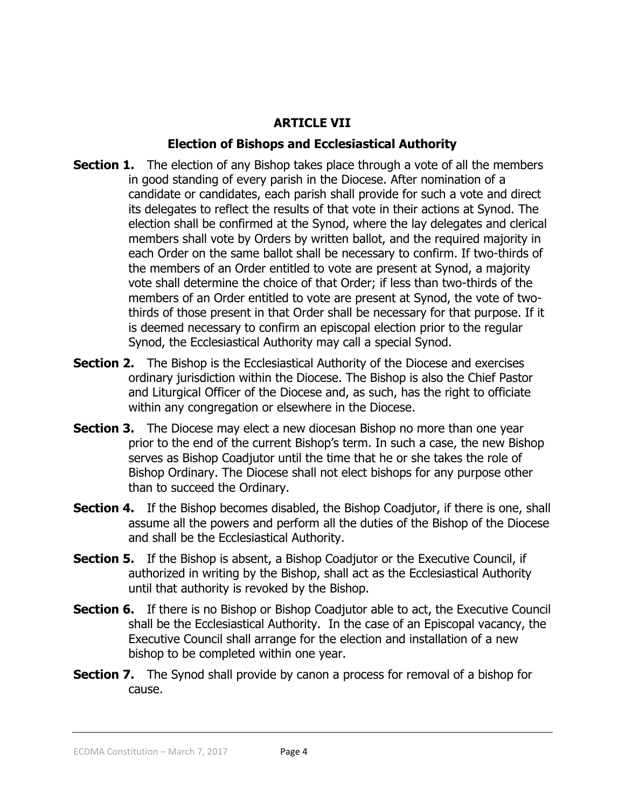# **ARTICLE VII**

## **Election of Bishops and Ecclesiastical Authority**

- **Section 1.** The election of any Bishop takes place through a vote of all the members in good standing of every parish in the Diocese. After nomination of a candidate or candidates, each parish shall provide for such a vote and direct its delegates to reflect the results of that vote in their actions at Synod. The election shall be confirmed at the Synod, where the lay delegates and clerical members shall vote by Orders by written ballot, and the required majority in each Order on the same ballot shall be necessary to confirm. If two-thirds of the members of an Order entitled to vote are present at Synod, a majority vote shall determine the choice of that Order; if less than two-thirds of the members of an Order entitled to vote are present at Synod, the vote of twothirds of those present in that Order shall be necessary for that purpose. If it is deemed necessary to confirm an episcopal election prior to the regular Synod, the Ecclesiastical Authority may call a special Synod.
- **Section 2.** The Bishop is the Ecclesiastical Authority of the Diocese and exercises ordinary jurisdiction within the Diocese. The Bishop is also the Chief Pastor and Liturgical Officer of the Diocese and, as such, has the right to officiate within any congregation or elsewhere in the Diocese.
- **Section 3.** The Diocese may elect a new diocesan Bishop no more than one year prior to the end of the current Bishop's term. In such a case, the new Bishop serves as Bishop Coadjutor until the time that he or she takes the role of Bishop Ordinary. The Diocese shall not elect bishops for any purpose other than to succeed the Ordinary.
- **Section 4.** If the Bishop becomes disabled, the Bishop Coadjutor, if there is one, shall assume all the powers and perform all the duties of the Bishop of the Diocese and shall be the Ecclesiastical Authority.
- **Section 5.** If the Bishop is absent, a Bishop Coadjutor or the Executive Council, if authorized in writing by the Bishop, shall act as the Ecclesiastical Authority until that authority is revoked by the Bishop.
- **Section 6.** If there is no Bishop or Bishop Coadjutor able to act, the Executive Council shall be the Ecclesiastical Authority. In the case of an Episcopal vacancy, the Executive Council shall arrange for the election and installation of a new bishop to be completed within one year.
- **Section 7.** The Synod shall provide by canon a process for removal of a bishop for cause.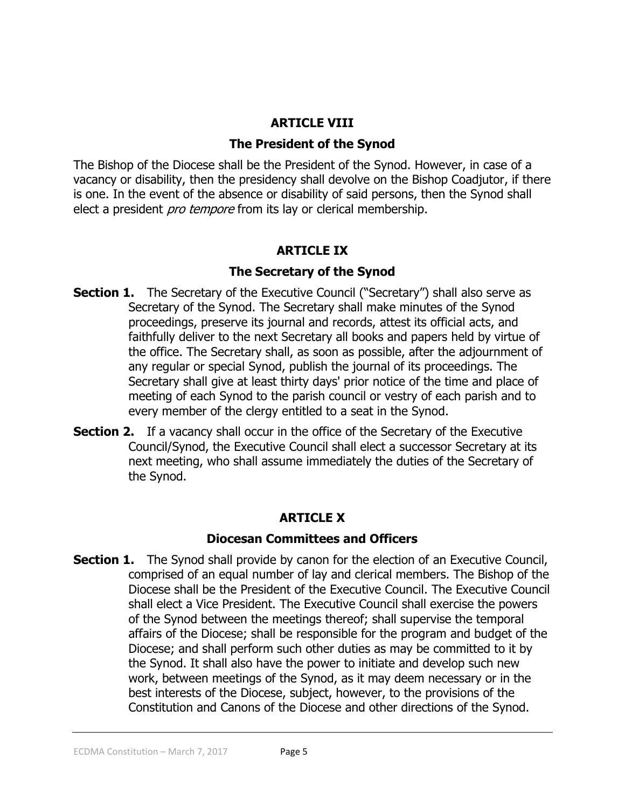#### **ARTICLE VIII**

#### **The President of the Synod**

The Bishop of the Diocese shall be the President of the Synod. However, in case of a vacancy or disability, then the presidency shall devolve on the Bishop Coadjutor, if there is one. In the event of the absence or disability of said persons, then the Synod shall elect a president *pro tempore* from its lay or clerical membership.

#### **ARTICLE IX**

#### **The Secretary of the Synod**

- **Section 1.** The Secretary of the Executive Council ("Secretary") shall also serve as Secretary of the Synod. The Secretary shall make minutes of the Synod proceedings, preserve its journal and records, attest its official acts, and faithfully deliver to the next Secretary all books and papers held by virtue of the office. The Secretary shall, as soon as possible, after the adjournment of any regular or special Synod, publish the journal of its proceedings. The Secretary shall give at least thirty days' prior notice of the time and place of meeting of each Synod to the parish council or vestry of each parish and to every member of the clergy entitled to a seat in the Synod.
- **Section 2.** If a vacancy shall occur in the office of the Secretary of the Executive Council/Synod, the Executive Council shall elect a successor Secretary at its next meeting, who shall assume immediately the duties of the Secretary of the Synod.

#### **ARTICLE X**

#### **Diocesan Committees and Officers**

**Section 1.** The Synod shall provide by canon for the election of an Executive Council, comprised of an equal number of lay and clerical members. The Bishop of the Diocese shall be the President of the Executive Council. The Executive Council shall elect a Vice President. The Executive Council shall exercise the powers of the Synod between the meetings thereof; shall supervise the temporal affairs of the Diocese; shall be responsible for the program and budget of the Diocese; and shall perform such other duties as may be committed to it by the Synod. It shall also have the power to initiate and develop such new work, between meetings of the Synod, as it may deem necessary or in the best interests of the Diocese, subject, however, to the provisions of the Constitution and Canons of the Diocese and other directions of the Synod.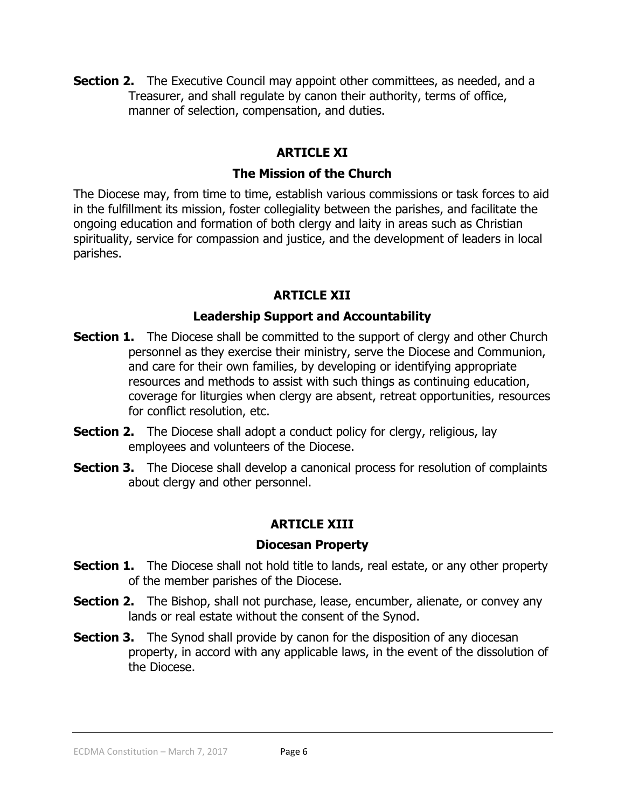**Section 2.** The Executive Council may appoint other committees, as needed, and a Treasurer, and shall regulate by canon their authority, terms of office, manner of selection, compensation, and duties.

# **ARTICLE XI**

## **The Mission of the Church**

The Diocese may, from time to time, establish various commissions or task forces to aid in the fulfillment its mission, foster collegiality between the parishes, and facilitate the ongoing education and formation of both clergy and laity in areas such as Christian spirituality, service for compassion and justice, and the development of leaders in local parishes.

# **ARTICLE XII**

# **Leadership Support and Accountability**

- **Section 1.** The Diocese shall be committed to the support of clergy and other Church personnel as they exercise their ministry, serve the Diocese and Communion, and care for their own families, by developing or identifying appropriate resources and methods to assist with such things as continuing education, coverage for liturgies when clergy are absent, retreat opportunities, resources for conflict resolution, etc.
- **Section 2.** The Diocese shall adopt a conduct policy for clergy, religious, lay employees and volunteers of the Diocese.
- **Section 3.** The Diocese shall develop a canonical process for resolution of complaints about clergy and other personnel.

# **ARTICLE XIII**

#### **Diocesan Property**

- **Section 1.** The Diocese shall not hold title to lands, real estate, or any other property of the member parishes of the Diocese.
- **Section 2.** The Bishop, shall not purchase, lease, encumber, alienate, or convey any lands or real estate without the consent of the Synod.
- **Section 3.** The Synod shall provide by canon for the disposition of any diocesan property, in accord with any applicable laws, in the event of the dissolution of the Diocese.